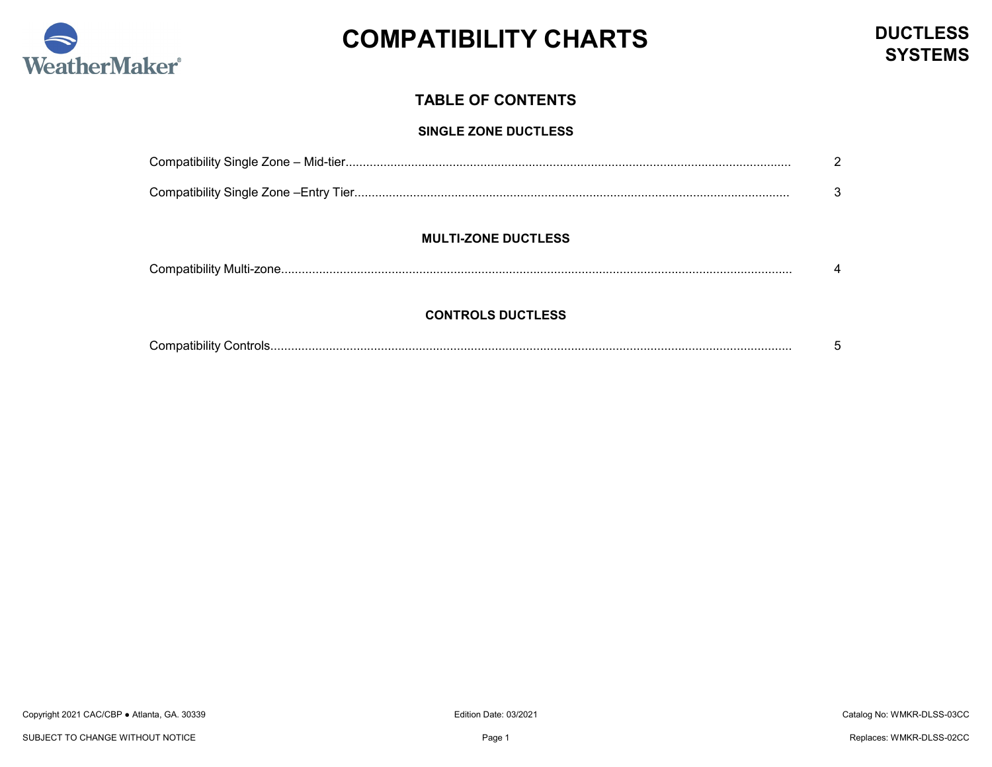

### **TABLE OF CONTENTS**

#### **SINGLE ZONE DUCTLESS**

#### **MULTI-ZONE DUCTLESS**

#### **CONTROLS DUCTLESS**

| $\sim$<br>. |  |
|-------------|--|
|             |  |
|             |  |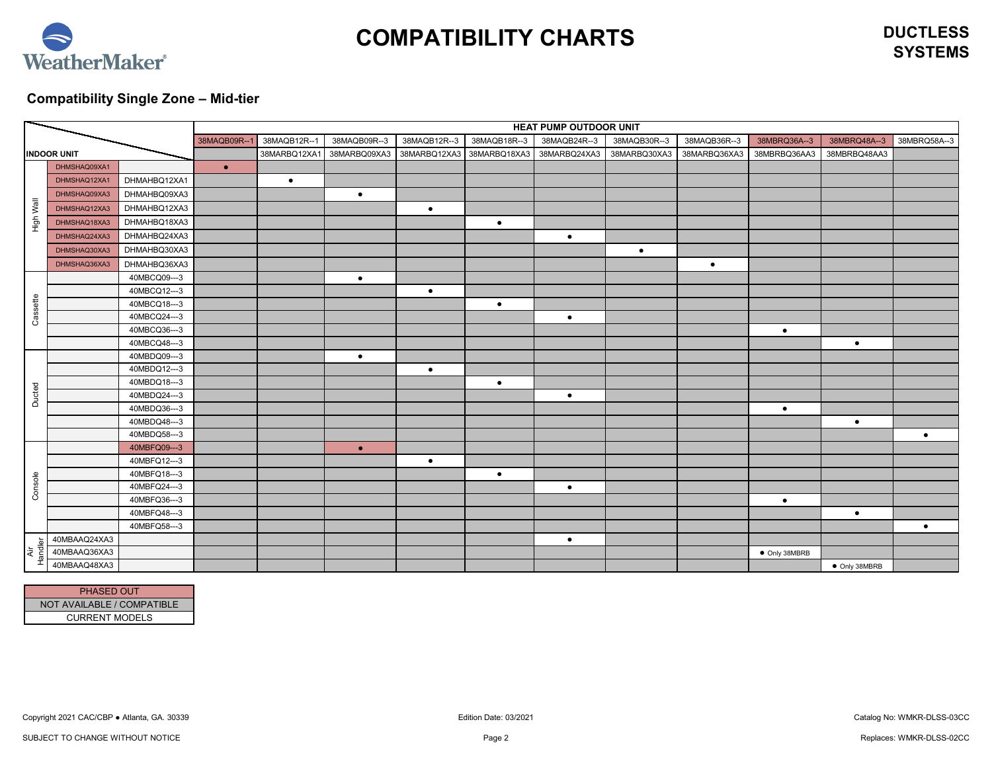

**SYSTEMS**

## <span id="page-1-0"></span>**Compatibility Single Zone – Mid-tier**

|              | HEAT PUMP OUTDOOR UNIT |              |             |              |              |              |                           |              |              |              |               |               |              |
|--------------|------------------------|--------------|-------------|--------------|--------------|--------------|---------------------------|--------------|--------------|--------------|---------------|---------------|--------------|
|              |                        |              | 38MAQB09R-- | 38MAQB12R--1 | 38MAQB09R--3 | 38MAQB12R--3 | 38MAQB18R--3              | 38MAQB24R--3 | 38MAQB30R--3 | 38MAQB36R--3 | 38MBRQ36A--3  | 38MBRQ48A--3  | 38MBRQ58A--3 |
|              | <b>INDOOR UNIT</b>     |              |             | 38MARBQ12XA1 | 38MARBQ09XA3 |              | 38MARBQ12XA3 38MARBQ18XA3 | 38MARBQ24XA3 | 38MARBQ30XA3 | 38MARBQ36XA3 | 38MBRBQ36AA3  | 38MBRBQ48AA3  |              |
|              | DHMSHAQ09XA1           |              | $\bullet$   |              |              |              |                           |              |              |              |               |               |              |
|              | DHMSHAQ12XA1           | DHMAHBQ12XA1 |             | $\bullet$    |              |              |                           |              |              |              |               |               |              |
|              | DHMSHAQ09XA3           | DHMAHBQ09XA3 |             |              | $\bullet$    |              |                           |              |              |              |               |               |              |
| High Wall    | DHMSHAQ12XA3           | DHMAHBQ12XA3 |             |              |              | $\bullet$    |                           |              |              |              |               |               |              |
|              | DHMSHAQ18XA3           | DHMAHBQ18XA3 |             |              |              |              | $\bullet$                 |              |              |              |               |               |              |
|              | DHMSHAQ24XA3           | DHMAHBQ24XA3 |             |              |              |              |                           | $\bullet$    |              |              |               |               |              |
|              | DHMSHAQ30XA3           | DHMAHBQ30XA3 |             |              |              |              |                           |              | $\bullet$    |              |               |               |              |
|              | DHMSHAQ36XA3           | DHMAHBQ36XA3 |             |              |              |              |                           |              |              | $\bullet$    |               |               |              |
|              |                        | 40MBCQ09---3 |             |              | $\bullet$    |              |                           |              |              |              |               |               |              |
|              |                        | 40MBCQ12---3 |             |              |              | $\bullet$    |                           |              |              |              |               |               |              |
| Cassette     |                        | 40MBCQ18---3 |             |              |              |              | $\bullet$                 |              |              |              |               |               |              |
|              |                        | 40MBCQ24---3 |             |              |              |              |                           | $\bullet$    |              |              |               |               |              |
|              |                        | 40MBCQ36---3 |             |              |              |              |                           |              |              |              | $\bullet$     |               |              |
|              |                        | 40MBCQ48---3 |             |              |              |              |                           |              |              |              |               | $\bullet$     |              |
|              |                        | 40MBDQ09---3 |             |              | $\bullet$    |              |                           |              |              |              |               |               |              |
|              |                        | 40MBDQ12---3 |             |              |              | $\bullet$    |                           |              |              |              |               |               |              |
|              |                        | 40MBDQ18---3 |             |              |              |              | $\bullet$                 |              |              |              |               |               |              |
| Ducted       |                        | 40MBDQ24---3 |             |              |              |              |                           | $\bullet$    |              |              |               |               |              |
|              |                        | 40MBDQ36---3 |             |              |              |              |                           |              |              |              | $\bullet$     |               |              |
|              |                        | 40MBDQ48---3 |             |              |              |              |                           |              |              |              |               | $\bullet$     |              |
|              |                        | 40MBDQ58---3 |             |              |              |              |                           |              |              |              |               |               | $\bullet$    |
|              |                        | 40MBFQ09---3 |             |              | $\bullet$    |              |                           |              |              |              |               |               |              |
|              |                        | 40MBFQ12---3 |             |              |              | $\bullet$    |                           |              |              |              |               |               |              |
|              |                        | 40MBFQ18---3 |             |              |              |              | $\bullet$                 |              |              |              |               |               |              |
| Console      |                        | 40MBFQ24---3 |             |              |              |              |                           | $\bullet$    |              |              |               |               |              |
|              |                        | 40MBFQ36---3 |             |              |              |              |                           |              |              |              | $\bullet$     |               |              |
|              |                        | 40MBFQ48---3 |             |              |              |              |                           |              |              |              |               | $\bullet$     |              |
|              | 40MBAAQ24XA3           | 40MBFQ58---3 |             |              |              |              |                           |              |              |              |               |               | $\bullet$    |
| ٥            | 40MBAAQ36XA3           |              |             |              |              |              |                           | $\bullet$    |              |              |               |               |              |
| Handl<br>Äίr | 40MBAAQ48XA3           |              |             |              |              |              |                           |              |              |              | • Only 38MBRB |               |              |
|              |                        |              |             |              |              |              |                           |              |              |              |               | • Only 38MBRB |              |

| <b>PHASED OUT</b>          |
|----------------------------|
| NOT AVAILABLE / COMPATIBLE |
| <b>CURRENT MODELS</b>      |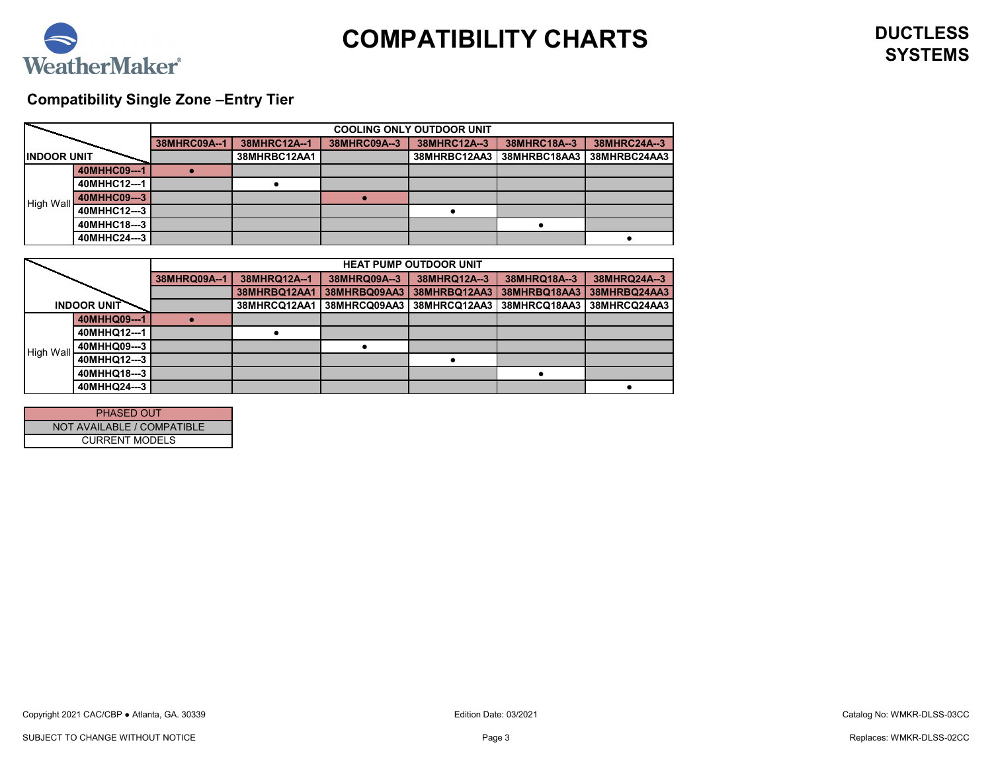

# <span id="page-2-0"></span>**Compatibility Single Zone –Entry Tier**

|                    |              | <b>COOLING ONLY OUTDOOR UNIT</b> |              |              |              |              |              |  |  |
|--------------------|--------------|----------------------------------|--------------|--------------|--------------|--------------|--------------|--|--|
|                    |              | 38MHRC09A--1                     | 38MHRC12A--1 | 38MHRC09A--3 | 38MHRC12A--3 | 38MHRC18A--3 | 38MHRC24A--3 |  |  |
| <b>INDOOR UNIT</b> |              |                                  | 38MHRBC12AA1 |              | 38MHRBC12AA3 | 38MHRBC18AA3 | 38MHRBC24AA3 |  |  |
|                    | 40MHHC09---1 |                                  |              |              |              |              |              |  |  |
|                    | 40MHHC12---1 |                                  |              |              |              |              |              |  |  |
| <b>High Wall</b>   | 40MHHC09---3 |                                  |              |              |              |              |              |  |  |
|                    | 40MHHC12---3 |                                  |              |              |              |              |              |  |  |
|                    | 40MHHC18---3 |                                  |              |              |              |              |              |  |  |
|                    | 40MHHC24---3 |                                  |              |              |              |              |              |  |  |

|                  |                    | <b>HEAT PUMP OUTDOOR UNIT</b> |                     |              |              |              |              |  |  |
|------------------|--------------------|-------------------------------|---------------------|--------------|--------------|--------------|--------------|--|--|
|                  |                    | 38MHRQ09A--1                  | 38MHRQ12A--1        | 38MHRQ09A--3 | 38MHRQ12A--3 | 38MHRQ18A--3 | 38MHRQ24A--3 |  |  |
|                  |                    |                               | <b>38MHRBQ12AA1</b> | 38MHRBQ09AA3 | 38MHRBQ12AA3 | 38MHRBQ18AA3 | 38MHRBQ24AA3 |  |  |
|                  | <b>INDOOR UNIT</b> |                               | 38MHRCQ12AA1        | 38MHRCQ09AA3 | 38MHRCQ12AA3 | 38MHRCQ18AA3 | 38MHRCQ24AA3 |  |  |
|                  | 40MHHQ09---1       |                               |                     |              |              |              |              |  |  |
|                  | 40MHHQ12---1       |                               |                     |              |              |              |              |  |  |
| <b>High Wall</b> | 40MHHQ09---3       |                               |                     |              |              |              |              |  |  |
|                  | 40MHHQ12---3       |                               |                     |              |              |              |              |  |  |
|                  | 40MHHQ18---3       |                               |                     |              |              |              |              |  |  |
|                  | 40MHHQ24---3       |                               |                     |              |              |              |              |  |  |

| <b>PHASED OUT</b>          |  |  |  |  |  |  |
|----------------------------|--|--|--|--|--|--|
| NOT AVAILABLE / COMPATIBLE |  |  |  |  |  |  |
| <b>CURRENT MODELS</b>      |  |  |  |  |  |  |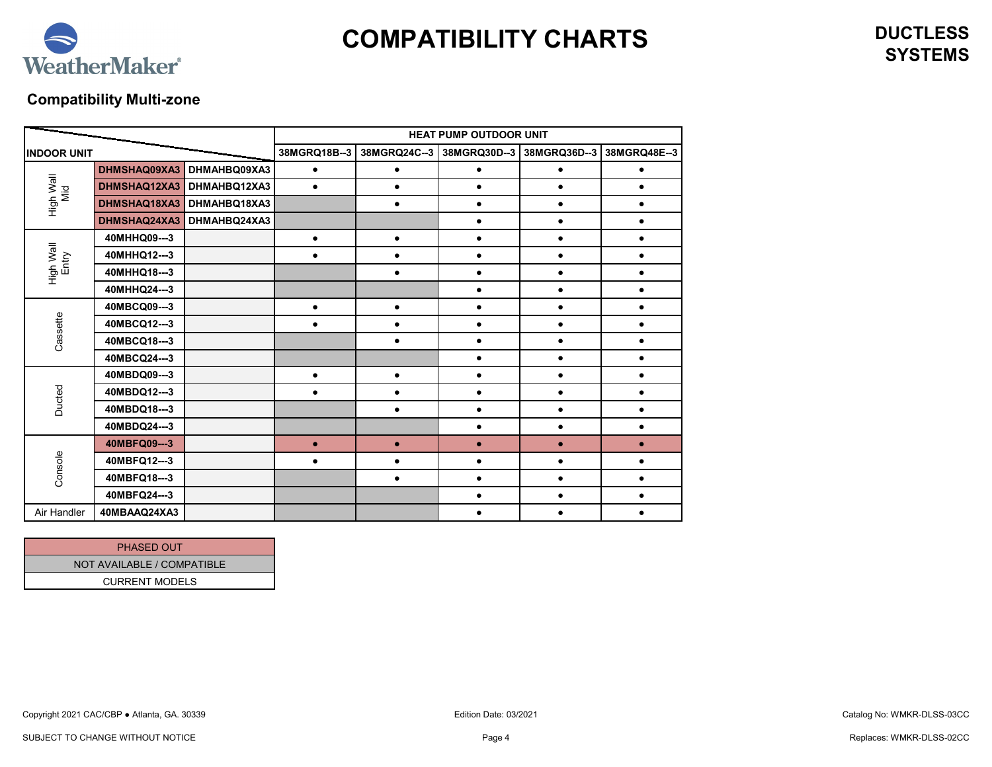

# <span id="page-3-0"></span>**Compatibility Multi-zone**

|                    |              |              | <b>HEAT PUMP OUTDOOR UNIT</b> |              |                           |           |              |  |  |
|--------------------|--------------|--------------|-------------------------------|--------------|---------------------------|-----------|--------------|--|--|
| <b>INDOOR UNIT</b> |              |              | 38MGRQ18B--3                  | 38MGRQ24C--3 | 38MGRQ30D--3 38MGRQ36D--3 |           | 38MGRQ48E--3 |  |  |
|                    | DHMSHAQ09XA3 | DHMAHBQ09XA3 |                               | ٠            |                           |           |              |  |  |
| High Wall<br>Mid   | DHMSHAQ12XA3 | DHMAHBQ12XA3 | $\bullet$                     | $\bullet$    |                           |           |              |  |  |
|                    | DHMSHAQ18XA3 | DHMAHBQ18XA3 |                               | $\bullet$    |                           | $\bullet$ |              |  |  |
|                    | DHMSHAQ24XA3 | DHMAHBQ24XA3 |                               |              |                           | $\bullet$ |              |  |  |
|                    | 40MHHQ09---3 |              | $\bullet$                     | $\bullet$    |                           |           |              |  |  |
| Entry              | 40MHHQ12---3 |              | $\bullet$                     | $\bullet$    | $\bullet$                 | $\bullet$ | $\bullet$    |  |  |
| High Wall          | 40MHHQ18---3 |              |                               | $\bullet$    |                           | $\bullet$ |              |  |  |
|                    | 40MHHQ24---3 |              |                               |              |                           | $\bullet$ |              |  |  |
| Cassette           | 40MBCQ09---3 |              | $\bullet$                     | $\bullet$    | $\bullet$                 | $\bullet$ |              |  |  |
|                    | 40MBCQ12---3 |              |                               | $\bullet$    |                           | $\bullet$ |              |  |  |
|                    | 40MBCQ18---3 |              |                               | $\bullet$    | $\bullet$                 | $\bullet$ |              |  |  |
|                    | 40MBCQ24---3 |              |                               |              |                           | $\bullet$ |              |  |  |
|                    | 40MBDQ09---3 |              | $\bullet$                     | $\bullet$    |                           | $\bullet$ |              |  |  |
| Ducted             | 40MBDQ12---3 |              | $\bullet$                     | $\bullet$    |                           | $\bullet$ |              |  |  |
|                    | 40MBDQ18---3 |              |                               | $\bullet$    |                           | $\bullet$ |              |  |  |
|                    | 40MBDQ24---3 |              |                               |              |                           | $\bullet$ |              |  |  |
| Console            | 40MBFQ09---3 |              | $\bullet$                     | $\bullet$    | $\bullet$                 | $\bullet$ | $\bullet$    |  |  |
|                    | 40MBFQ12---3 |              |                               | $\bullet$    |                           | $\bullet$ |              |  |  |
|                    | 40MBFQ18---3 |              |                               | $\bullet$    |                           | $\bullet$ |              |  |  |
|                    | 40MBFQ24---3 |              |                               |              |                           |           |              |  |  |
| Air Handler        | 40MBAAQ24XA3 |              |                               |              |                           |           |              |  |  |

| <b>PHASED OUT</b>          |
|----------------------------|
| NOT AVAILABLE / COMPATIBLE |
| <b>CURRENT MODELS</b>      |